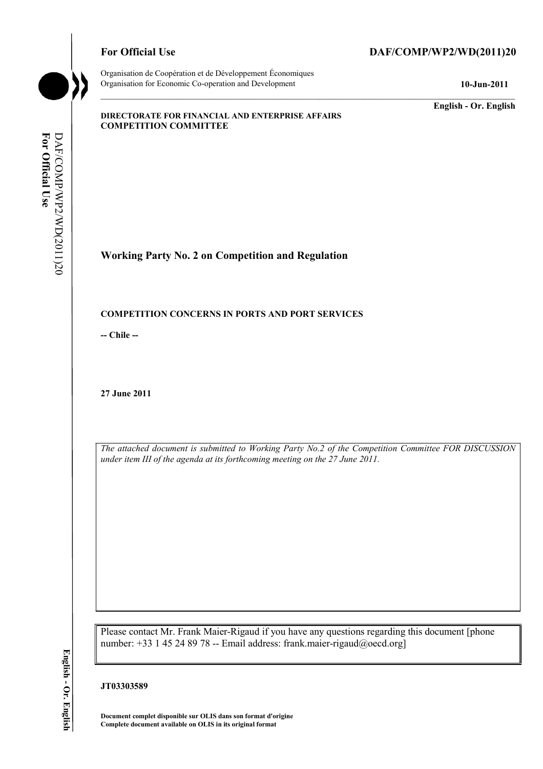

## For Official Use DAF/COMP/WP2/WD(2011)20

**English - Or. English** 

#### **DIRECTORATE FOR FINANCIAL AND ENTERPRISE AFFAIRS COMPETITION COMMITTEE**

**Working Party No. 2 on Competition and Regulation** 

#### **COMPETITION CONCERNS IN PORTS AND PORT SERVICES**

**-- Chile --** 

**27 June 2011** 

*The attached document is submitted to Working Party No.2 of the Competition Committee FOR DISCUSSION under item III of the agenda at its forthcoming meeting on the 27 June 2011.* 

Please contact Mr. Frank Maier-Rigaud if you have any questions regarding this document [phone number: +33 1 45 24 89 78 -- Email address: frank.maier-rigaud@oecd.org]

## **JT03303589**

**Document complet disponible sur OLIS dans son format d'origine Complete document available on OLIS in its original format**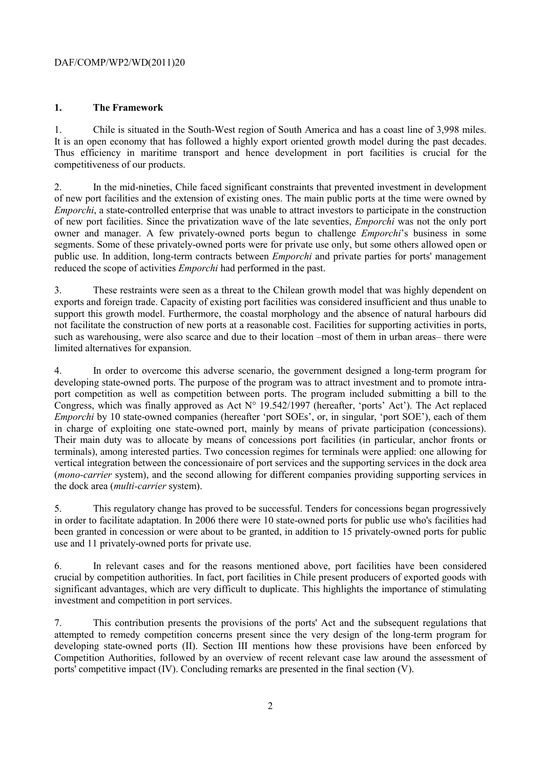## **1. The Framework**

1. Chile is situated in the South-West region of South America and has a coast line of 3,998 miles. It is an open economy that has followed a highly export oriented growth model during the past decades. Thus efficiency in maritime transport and hence development in port facilities is crucial for the competitiveness of our products.

2. In the mid-nineties, Chile faced significant constraints that prevented investment in development of new port facilities and the extension of existing ones. The main public ports at the time were owned by *Emporchi*, a state-controlled enterprise that was unable to attract investors to participate in the construction of new port facilities. Since the privatization wave of the late seventies, *Emporchi* was not the only port owner and manager. A few privately-owned ports begun to challenge *Emporchi*'s business in some segments. Some of these privately-owned ports were for private use only, but some others allowed open or public use. In addition, long-term contracts between *Emporchi* and private parties for ports' management reduced the scope of activities *Emporchi* had performed in the past.

3. These restraints were seen as a threat to the Chilean growth model that was highly dependent on exports and foreign trade. Capacity of existing port facilities was considered insufficient and thus unable to support this growth model. Furthermore, the coastal morphology and the absence of natural harbours did not facilitate the construction of new ports at a reasonable cost. Facilities for supporting activities in ports, such as warehousing, were also scarce and due to their location –most of them in urban areas– there were limited alternatives for expansion.

4. In order to overcome this adverse scenario, the government designed a long-term program for developing state-owned ports. The purpose of the program was to attract investment and to promote intraport competition as well as competition between ports. The program included submitting a bill to the Congress, which was finally approved as Act  $N^{\circ}$  19.542/1997 (hereafter, 'ports' Act'). The Act replaced *Emporchi* by 10 state-owned companies (hereafter 'port SOEs', or, in singular, 'port SOE'), each of them in charge of exploiting one state-owned port, mainly by means of private participation (concessions). Their main duty was to allocate by means of concessions port facilities (in particular, anchor fronts or terminals), among interested parties. Two concession regimes for terminals were applied: one allowing for vertical integration between the concessionaire of port services and the supporting services in the dock area (*mono-carrier* system), and the second allowing for different companies providing supporting services in the dock area (*multi-carrier* system).

5. This regulatory change has proved to be successful. Tenders for concessions began progressively in order to facilitate adaptation. In 2006 there were 10 state-owned ports for public use who's facilities had been granted in concession or were about to be granted, in addition to 15 privately-owned ports for public use and 11 privately-owned ports for private use.

6. In relevant cases and for the reasons mentioned above, port facilities have been considered crucial by competition authorities. In fact, port facilities in Chile present producers of exported goods with significant advantages, which are very difficult to duplicate. This highlights the importance of stimulating investment and competition in port services.

7. This contribution presents the provisions of the ports' Act and the subsequent regulations that attempted to remedy competition concerns present since the very design of the long-term program for developing state-owned ports (II). Section III mentions how these provisions have been enforced by Competition Authorities, followed by an overview of recent relevant case law around the assessment of ports' competitive impact (IV). Concluding remarks are presented in the final section (V).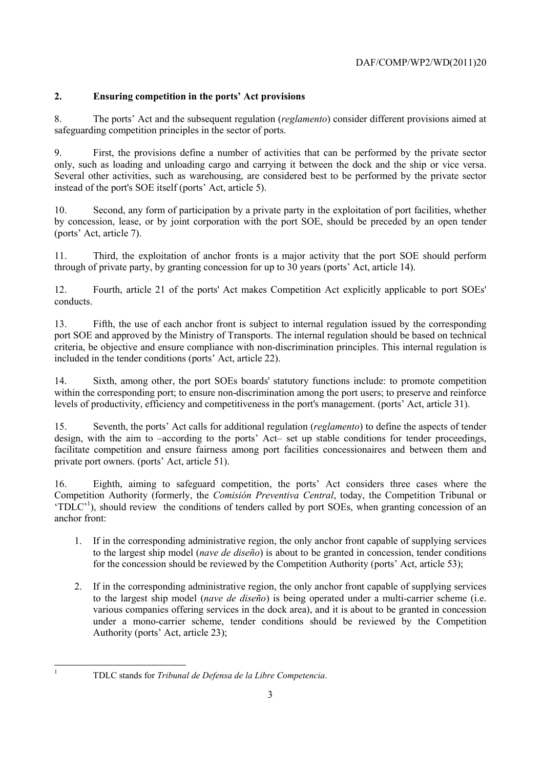# **2. Ensuring competition in the ports' Act provisions**

8. The ports' Act and the subsequent regulation (*reglamento*) consider different provisions aimed at safeguarding competition principles in the sector of ports.

9. First, the provisions define a number of activities that can be performed by the private sector only, such as loading and unloading cargo and carrying it between the dock and the ship or vice versa. Several other activities, such as warehousing, are considered best to be performed by the private sector instead of the port's SOE itself (ports' Act, article 5).

10. Second, any form of participation by a private party in the exploitation of port facilities, whether by concession, lease, or by joint corporation with the port SOE, should be preceded by an open tender (ports' Act, article 7).

11. Third, the exploitation of anchor fronts is a major activity that the port SOE should perform through of private party, by granting concession for up to 30 years (ports' Act, article 14).

12. Fourth, article 21 of the ports' Act makes Competition Act explicitly applicable to port SOEs' conducts.

13. Fifth, the use of each anchor front is subject to internal regulation issued by the corresponding port SOE and approved by the Ministry of Transports. The internal regulation should be based on technical criteria, be objective and ensure compliance with non-discrimination principles. This internal regulation is included in the tender conditions (ports' Act, article 22).

14. Sixth, among other, the port SOEs boards' statutory functions include: to promote competition within the corresponding port; to ensure non-discrimination among the port users; to preserve and reinforce levels of productivity, efficiency and competitiveness in the port's management. (ports' Act, article 31).

15. Seventh, the ports' Act calls for additional regulation (*reglamento*) to define the aspects of tender design, with the aim to –according to the ports' Act– set up stable conditions for tender proceedings, facilitate competition and ensure fairness among port facilities concessionaires and between them and private port owners. (ports' Act, article 51).

16. Eighth, aiming to safeguard competition, the ports' Act considers three cases where the Competition Authority (formerly, the *Comisión Preventiva Central*, today, the Competition Tribunal or 'TDLC'<sup>1</sup>), should review the conditions of tenders called by port SOEs, when granting concession of an anchor front:

- 1. If in the corresponding administrative region, the only anchor front capable of supplying services to the largest ship model (*nave de diseño*) is about to be granted in concession, tender conditions for the concession should be reviewed by the Competition Authority (ports' Act, article 53);
- 2. If in the corresponding administrative region, the only anchor front capable of supplying services to the largest ship model (*nave de diseño*) is being operated under a multi-carrier scheme (i.e. various companies offering services in the dock area), and it is about to be granted in concession under a mono-carrier scheme, tender conditions should be reviewed by the Competition Authority (ports' Act, article 23);

 1

TDLC stands for *Tribunal de Defensa de la Libre Competencia*.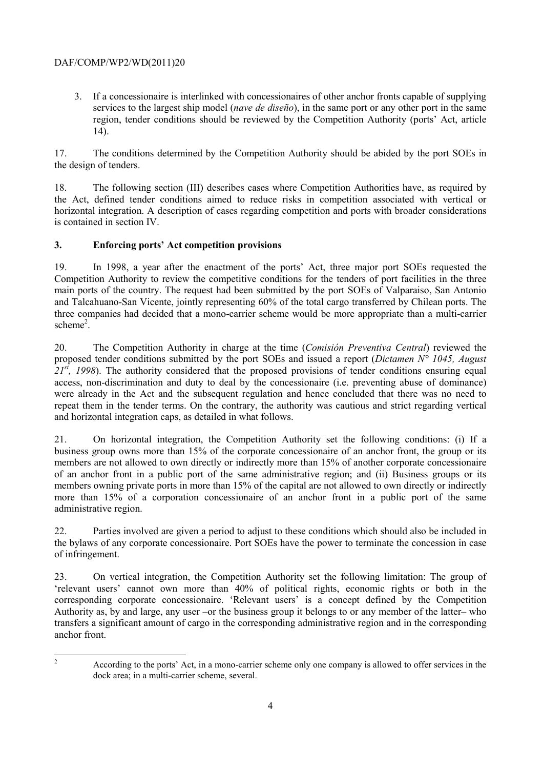3. If a concessionaire is interlinked with concessionaires of other anchor fronts capable of supplying services to the largest ship model (*nave de diseño*), in the same port or any other port in the same region, tender conditions should be reviewed by the Competition Authority (ports' Act, article 14).

17. The conditions determined by the Competition Authority should be abided by the port SOEs in the design of tenders.

18. The following section (III) describes cases where Competition Authorities have, as required by the Act, defined tender conditions aimed to reduce risks in competition associated with vertical or horizontal integration. A description of cases regarding competition and ports with broader considerations is contained in section IV.

## **3. Enforcing ports' Act competition provisions**

19. In 1998, a year after the enactment of the ports' Act, three major port SOEs requested the Competition Authority to review the competitive conditions for the tenders of port facilities in the three main ports of the country. The request had been submitted by the port SOEs of Valparaiso, San Antonio and Talcahuano-San Vicente, jointly representing 60% of the total cargo transferred by Chilean ports. The three companies had decided that a mono-carrier scheme would be more appropriate than a multi-carrier scheme<sup>2</sup>.

20. The Competition Authority in charge at the time (*Comisión Preventiva Central*) reviewed the proposed tender conditions submitted by the port SOEs and issued a report (*Dictamen N° 1045, August 21st, 1998*). The authority considered that the proposed provisions of tender conditions ensuring equal access, non-discrimination and duty to deal by the concessionaire (i.e. preventing abuse of dominance) were already in the Act and the subsequent regulation and hence concluded that there was no need to repeat them in the tender terms. On the contrary, the authority was cautious and strict regarding vertical and horizontal integration caps, as detailed in what follows.

21. On horizontal integration, the Competition Authority set the following conditions: (i) If a business group owns more than 15% of the corporate concessionaire of an anchor front, the group or its members are not allowed to own directly or indirectly more than 15% of another corporate concessionaire of an anchor front in a public port of the same administrative region; and (ii) Business groups or its members owning private ports in more than 15% of the capital are not allowed to own directly or indirectly more than 15% of a corporation concessionaire of an anchor front in a public port of the same administrative region.

22. Parties involved are given a period to adjust to these conditions which should also be included in the bylaws of any corporate concessionaire. Port SOEs have the power to terminate the concession in case of infringement.

23. On vertical integration, the Competition Authority set the following limitation: The group of 'relevant users' cannot own more than 40% of political rights, economic rights or both in the corresponding corporate concessionaire. 'Relevant users' is a concept defined by the Competition Authority as, by and large, any user –or the business group it belongs to or any member of the latter– who transfers a significant amount of cargo in the corresponding administrative region and in the corresponding anchor front.

 $\frac{1}{2}$ 

According to the ports' Act, in a mono-carrier scheme only one company is allowed to offer services in the dock area; in a multi-carrier scheme, several.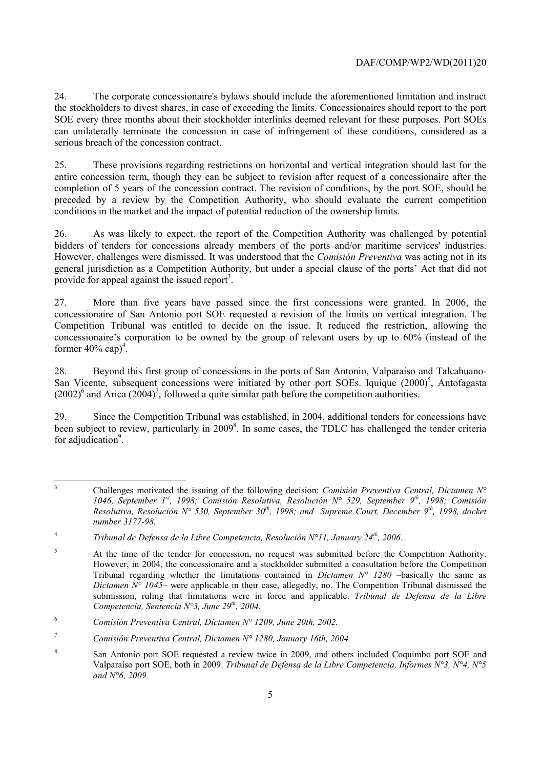24. The corporate concessionaire's bylaws should include the aforementioned limitation and instruct the stockholders to divest shares, in case of exceeding the limits. Concessionaires should report to the port SOE every three months about their stockholder interlinks deemed relevant for these purposes. Port SOEs can unilaterally terminate the concession in case of infringement of these conditions, considered as a serious breach of the concession contract.

25. These provisions regarding restrictions on horizontal and vertical integration should last for the entire concession term, though they can be subject to revision after request of a concessionaire after the completion of 5 years of the concession contract. The revision of conditions, by the port SOE, should be preceded by a review by the Competition Authority, who should evaluate the current competition conditions in the market and the impact of potential reduction of the ownership limits.

26. As was likely to expect, the report of the Competition Authority was challenged by potential bidders of tenders for concessions already members of the ports and/or maritime services' industries. However, challenges were dismissed. It was understood that the *Comisión Preventiva* was acting not in its general jurisdiction as a Competition Authority, but under a special clause of the ports' Act that did not provide for appeal against the issued report<sup>3</sup>.

27. More than five years have passed since the first concessions were granted. In 2006, the concessionaire of San Antonio port SOE requested a revision of the limits on vertical integration. The Competition Tribunal was entitled to decide on the issue. It reduced the restriction, allowing the concessionaire's corporation to be owned by the group of relevant users by up to 60% (instead of the former  $40\%$  cap)<sup>4</sup>.

28. Beyond this first group of concessions in the ports of San Antonio, Valparaíso and Talcahuano-San Vicente, subsequent concessions were initiated by other port SOEs. Iquique  $(2000)^5$ , Antofagasta  $(2002)^6$  and Arica  $(2004)^7$ , followed a quite similar path before the competition authorities.

29. Since the Competition Tribunal was established, in 2004, additional tenders for concessions have been subject to review, particularly in 2009<sup>8</sup>. In some cases, the TDLC has challenged the tender criteria for adjudication<sup>9</sup>.

 3 Challenges motivated the issuing of the following decision: *Comisión Preventiva Central, Dictamen N° 1046, September 1st, 1998; Comisión Resolutiva, Resolución N° 529, September 9th, 1998; Comisión Resolutiva, Resolución N° 530, September 30th, 1998; and Supreme Court, December 9th, 1998, docket number 3177-98.* 

<sup>4</sup> *Tribunal de Defensa de la Libre Competencia, Resolución N°11, January 24th, 2006.*

<sup>5</sup> At the time of the tender for concession, no request was submitted before the Competition Authority. However, in 2004, the concessionaire and a stockholder submitted a consultation before the Competition Tribunal regarding whether the limitations contained in *Dictamen N° 1280* –basically the same as *Dictamen*  $N^{\circ}$  1045– were applicable in their case, allegedly, no. The Competition Tribunal dismissed the submission, ruling that limitations were in force and applicable. *Tribunal de Defensa de la Libre Competencia, Sentencia N°3, June 29th, 2004.*

<sup>6</sup> *Comisión Preventiva Central, Dictamen N° 1209, June 20th, 2002.*

<sup>7</sup> *Comisión Preventiva Central, Dictamen N° 1280, January 16th, 2004.*

<sup>8</sup> San Antonio port SOE requested a review twice in 2009, and others included Coquimbo port SOE and Valparaíso port SOE, both in 2009. *Tribunal de Defensa de la Libre Competencia, Informes N°3, N°4, N°5 and N°6, 2009.*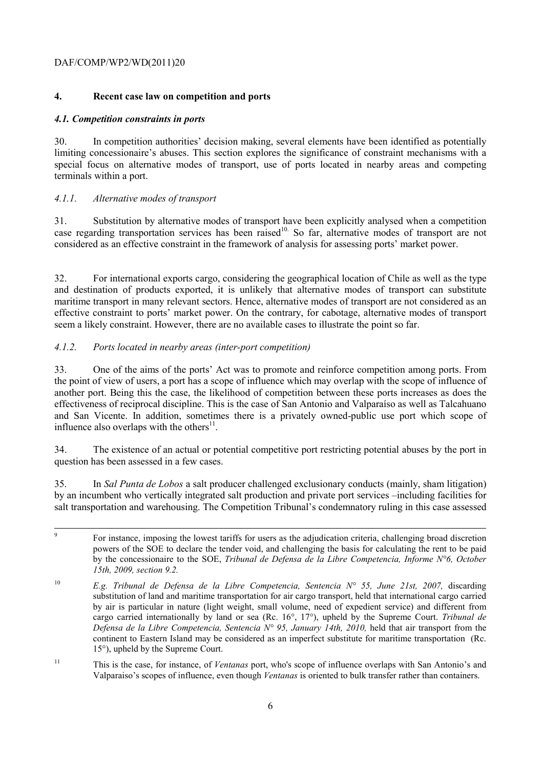## **4. Recent case law on competition and ports**

#### *4.1. Competition constraints in ports*

30. In competition authorities' decision making, several elements have been identified as potentially limiting concessionaire's abuses. This section explores the significance of constraint mechanisms with a special focus on alternative modes of transport, use of ports located in nearby areas and competing terminals within a port.

## *4.1.1. Alternative modes of transport*

31. Substitution by alternative modes of transport have been explicitly analysed when a competition case regarding transportation services has been raised<sup>10.</sup> So far, alternative modes of transport are not considered as an effective constraint in the framework of analysis for assessing ports' market power.

32. For international exports cargo, considering the geographical location of Chile as well as the type and destination of products exported, it is unlikely that alternative modes of transport can substitute maritime transport in many relevant sectors. Hence, alternative modes of transport are not considered as an effective constraint to ports' market power. On the contrary, for cabotage, alternative modes of transport seem a likely constraint. However, there are no available cases to illustrate the point so far.

## *4.1.2. Ports located in nearby areas (inter-port competition)*

33. One of the aims of the ports' Act was to promote and reinforce competition among ports. From the point of view of users, a port has a scope of influence which may overlap with the scope of influence of another port. Being this the case, the likelihood of competition between these ports increases as does the effectiveness of reciprocal discipline. This is the case of San Antonio and Valparaíso as well as Talcahuano and San Vicente. In addition, sometimes there is a privately owned-public use port which scope of influence also overlaps with the others $^{11}$ .

34. The existence of an actual or potential competitive port restricting potential abuses by the port in question has been assessed in a few cases.

35. In *Sal Punta de Lobos* a salt producer challenged exclusionary conducts (mainly, sham litigation) by an incumbent who vertically integrated salt production and private port services –including facilities for salt transportation and warehousing. The Competition Tribunal's condemnatory ruling in this case assessed

- -<br>9 <sup>9</sup> For instance, imposing the lowest tariffs for users as the adjudication criteria, challenging broad discretion powers of the SOE to declare the tender void, and challenging the basis for calculating the rent to be paid by the concessionaire to the SOE, *Tribunal de Defensa de la Libre Competencia, Informe N°6, October 15th, 2009, section 9.2.*
- <sup>10</sup> *E.g. Tribunal de Defensa de la Libre Competencia, Sentencia N° 55, June 21st, 2007, discarding* substitution of land and maritime transportation for air cargo transport, held that international cargo carried by air is particular in nature (light weight, small volume, need of expedient service) and different from cargo carried internationally by land or sea (Rc. 16°, 17°), upheld by the Supreme Court. *Tribunal de Defensa de la Libre Competencia, Sentencia N° 95, January 14th, 2010, held that air transport from the* continent to Eastern Island may be considered as an imperfect substitute for maritime transportation (Rc. 15°), upheld by the Supreme Court.
- 11 This is the case, for instance, of *Ventanas* port, who's scope of influence overlaps with San Antonio's and Valparaiso's scopes of influence, even though *Ventanas* is oriented to bulk transfer rather than containers.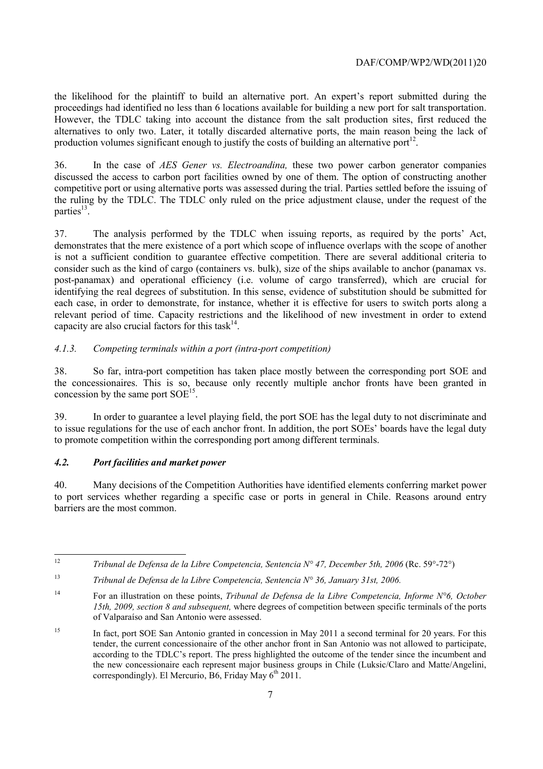the likelihood for the plaintiff to build an alternative port. An expert's report submitted during the proceedings had identified no less than 6 locations available for building a new port for salt transportation. However, the TDLC taking into account the distance from the salt production sites, first reduced the alternatives to only two. Later, it totally discarded alternative ports, the main reason being the lack of production volumes significant enough to justify the costs of building an alternative port<sup>12</sup>.

36. In the case of *AES Gener vs. Electroandina,* these two power carbon generator companies discussed the access to carbon port facilities owned by one of them. The option of constructing another competitive port or using alternative ports was assessed during the trial. Parties settled before the issuing of the ruling by the TDLC. The TDLC only ruled on the price adjustment clause, under the request of the parties $^{13}$ .

37. The analysis performed by the TDLC when issuing reports, as required by the ports' Act, demonstrates that the mere existence of a port which scope of influence overlaps with the scope of another is not a sufficient condition to guarantee effective competition. There are several additional criteria to consider such as the kind of cargo (containers vs. bulk), size of the ships available to anchor (panamax vs. post-panamax) and operational efficiency (i.e. volume of cargo transferred), which are crucial for identifying the real degrees of substitution. In this sense, evidence of substitution should be submitted for each case, in order to demonstrate, for instance, whether it is effective for users to switch ports along a relevant period of time. Capacity restrictions and the likelihood of new investment in order to extend capacity are also crucial factors for this task  $14$ .

## *4.1.3. Competing terminals within a port (intra-port competition)*

38. So far, intra-port competition has taken place mostly between the corresponding port SOE and the concessionaires. This is so, because only recently multiple anchor fronts have been granted in concession by the same port  $SOE<sup>15</sup>$ .

39. In order to guarantee a level playing field, the port SOE has the legal duty to not discriminate and to issue regulations for the use of each anchor front. In addition, the port SOEs' boards have the legal duty to promote competition within the corresponding port among different terminals.

#### *4.2. Port facilities and market power*

40. Many decisions of the Competition Authorities have identified elements conferring market power to port services whether regarding a specific case or ports in general in Chile. Reasons around entry barriers are the most common.

 $12$ <sup>12</sup> *Tribunal de Defensa de la Libre Competencia, Sentencia N° 47, December 5th, 2006* (Rc. 59°-72°)

<sup>13</sup> *Tribunal de Defensa de la Libre Competencia, Sentencia N° 36, January 31st, 2006.*

<sup>14</sup> For an illustration on these points, *Tribunal de Defensa de la Libre Competencia, Informe N°6, October 15th, 2009, section 8 and subsequent,* where degrees of competition between specific terminals of the ports of Valparaíso and San Antonio were assessed.

<sup>&</sup>lt;sup>15</sup> In fact, port SOE San Antonio granted in concession in May 2011 a second terminal for 20 years. For this tender, the current concessionaire of the other anchor front in San Antonio was not allowed to participate, according to the TDLC's report. The press highlighted the outcome of the tender since the incumbent and the new concessionaire each represent major business groups in Chile (Luksic/Claro and Matte/Angelini, correspondingly). El Mercurio, B6, Friday May 6<sup>th</sup> 2011.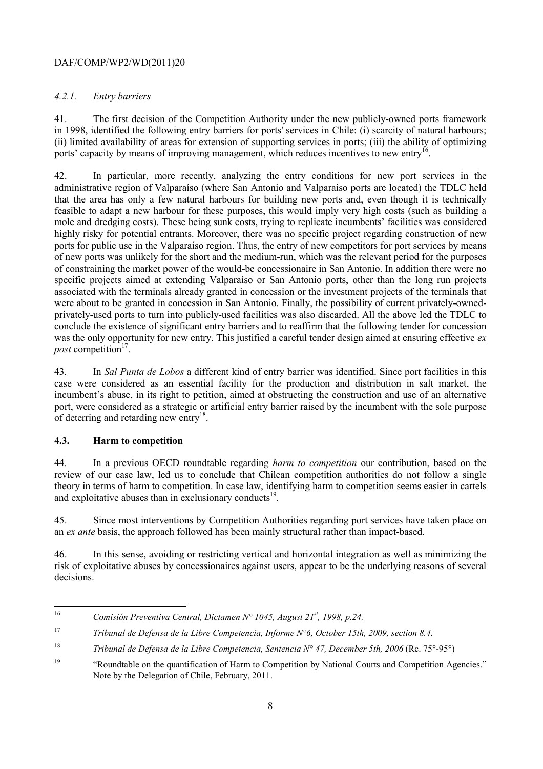## *4.2.1. Entry barriers*

41. The first decision of the Competition Authority under the new publicly-owned ports framework in 1998, identified the following entry barriers for ports' services in Chile: (i) scarcity of natural harbours; (ii) limited availability of areas for extension of supporting services in ports; (iii) the ability of optimizing ports' capacity by means of improving management, which reduces incentives to new entry<sup>16</sup>.

42. In particular, more recently, analyzing the entry conditions for new port services in the administrative region of Valparaíso (where San Antonio and Valparaíso ports are located) the TDLC held that the area has only a few natural harbours for building new ports and, even though it is technically feasible to adapt a new harbour for these purposes, this would imply very high costs (such as building a mole and dredging costs). These being sunk costs, trying to replicate incumbents' facilities was considered highly risky for potential entrants. Moreover, there was no specific project regarding construction of new ports for public use in the Valparaíso region. Thus, the entry of new competitors for port services by means of new ports was unlikely for the short and the medium-run, which was the relevant period for the purposes of constraining the market power of the would-be concessionaire in San Antonio. In addition there were no specific projects aimed at extending Valparaíso or San Antonio ports, other than the long run projects associated with the terminals already granted in concession or the investment projects of the terminals that were about to be granted in concession in San Antonio. Finally, the possibility of current privately-ownedprivately-used ports to turn into publicly-used facilities was also discarded. All the above led the TDLC to conclude the existence of significant entry barriers and to reaffirm that the following tender for concession was the only opportunity for new entry. This justified a careful tender design aimed at ensuring effective *ex post* competition<sup>17</sup>.

43. In *Sal Punta de Lobos* a different kind of entry barrier was identified. Since port facilities in this case were considered as an essential facility for the production and distribution in salt market, the incumbent's abuse, in its right to petition, aimed at obstructing the construction and use of an alternative port, were considered as a strategic or artificial entry barrier raised by the incumbent with the sole purpose of deterring and retarding new entry<sup>18</sup>.

#### **4.3. Harm to competition**

44. In a previous OECD roundtable regarding *harm to competition* our contribution, based on the review of our case law, led us to conclude that Chilean competition authorities do not follow a single theory in terms of harm to competition. In case law, identifying harm to competition seems easier in cartels and exploitative abuses than in exclusionary conducts $19$ .

45. Since most interventions by Competition Authorities regarding port services have taken place on an *ex ante* basis, the approach followed has been mainly structural rather than impact-based.

46. In this sense, avoiding or restricting vertical and horizontal integration as well as minimizing the risk of exploitative abuses by concessionaires against users, appear to be the underlying reasons of several decisions.

 $16\text{ }$ <sup>16</sup> *Comisión Preventiva Central, Dictamen N° 1045, August 21st, 1998, p.24.*

<sup>17</sup> *Tribunal de Defensa de la Libre Competencia, Informe N°6, October 15th, 2009, section 8.4.*

<sup>&</sup>lt;sup>18</sup> *Tribunal de Defensa de la Libre Competencia, Sentencia N° 47, December 5th, 2006 (Rc. 75°-95°)* 

<sup>&</sup>lt;sup>19</sup> "Roundtable on the quantification of Harm to Competition by National Courts and Competition Agencies." Note by the Delegation of Chile, February, 2011.